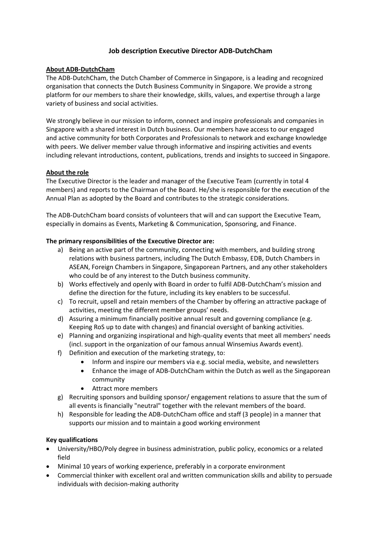# **Job description Executive Director ADB‐DutchCham**

## **About ADB-DutchCham**

The ADB-DutchCham, the Dutch Chamber of Commerce in Singapore, is a leading and recognized organisation that connects the Dutch Business Community in Singapore. We provide a strong platform for our members to share their knowledge, skills, values, and expertise through a large variety of business and social activities.

We strongly believe in our mission to inform, connect and inspire professionals and companies in Singapore with a shared interest in Dutch business. Our members have access to our engaged and active community for both Corporates and Professionals to network and exchange knowledge with peers. We deliver member value through informative and inspiring activities and events including relevant introductions, content, publications, trends and insights to succeed in Singapore.

## **About the role**

The Executive Director is the leader and manager of the Executive Team (currently in total 4 members) and reports to the Chairman of the Board. He/she is responsible for the execution of the Annual Plan as adopted by the Board and contributes to the strategic considerations.

The ADB‐DutchCham board consists of volunteers that will and can support the Executive Team, especially in domains as Events, Marketing & Communication, Sponsoring, and Finance.

## **The primary responsibilities of the Executive Director are:**

- a) Being an active part of the community, connecting with members, and building strong relations with business partners, including The Dutch Embassy, EDB, Dutch Chambers in ASEAN, Foreign Chambers in Singapore, Singaporean Partners, and any other stakeholders who could be of any interest to the Dutch business community.
- b) Works effectively and openly with Board in order to fulfil ADB-DutchCham's mission and define the direction for the future, including its key enablers to be successful.
- c) To recruit, upsell and retain members of the Chamber by offering an attractive package of activities, meeting the different member groups' needs.
- d) Assuring a minimum financially positive annual result and governing compliance (e.g. Keeping RoS up to date with changes) and financial oversight of banking activities.
- e) Planning and organizing inspirational and high-quality events that meet all members' needs (incl. support in the organization of our famous annual Winsemius Awards event).
- f) Definition and execution of the marketing strategy, to:
	- Inform and inspire our members via e.g. social media, website, and newsletters
	- Enhance the image of ADB-DutchCham within the Dutch as well as the Singaporean community
	- Attract more members
- g) Recruiting sponsors and building sponsor/ engagement relations to assure that the sum of all events is financially "neutral" together with the relevant members of the board.
- h) Responsible for leading the ADB-DutchCham office and staff (3 people) in a manner that supports our mission and to maintain a good working environment

#### **Key qualifications**

- University/HBO/Poly degree in business administration, public policy, economics or a related field
- Minimal 10 years of working experience, preferably in a corporate environment
- Commercial thinker with excellent oral and written communication skills and ability to persuade individuals with decision-making authority